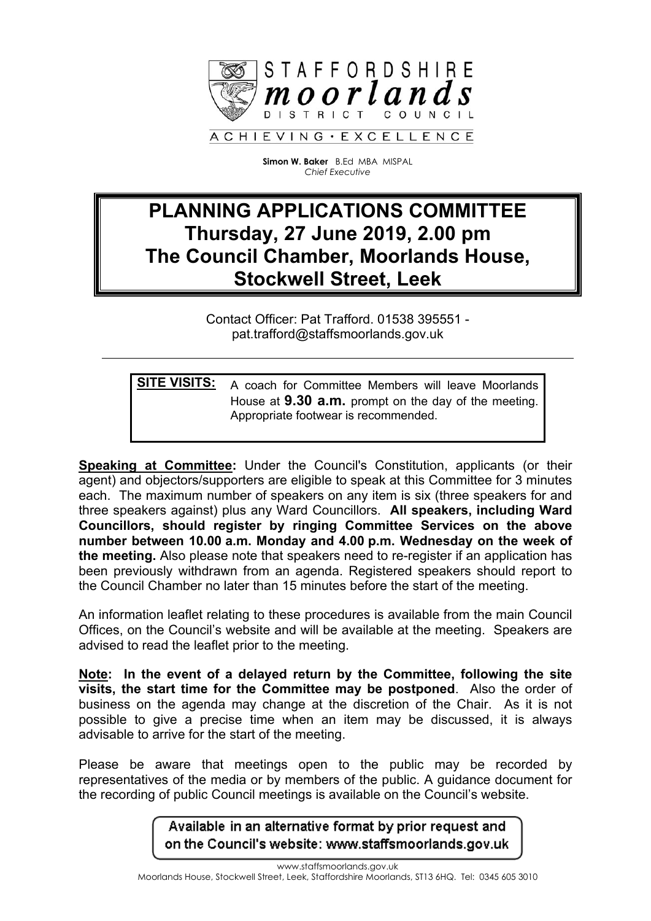

**Simon W. Baker** B.Ed MBA MISPAL *Chief Executive*

## **PLANNING APPLICATIONS COMMITTEE Thursday, 27 June 2019, 2.00 pm The Council Chamber, Moorlands House, Stockwell Street, Leek**

Contact Officer: Pat Trafford. 01538 395551 pat.trafford@staffsmoorlands.gov.uk

**SITE VISITS:** A coach for Committee Members will leave Moorlands House at **9.30 a.m.** prompt on the day of the meeting. Appropriate footwear is recommended.

**Speaking at Committee:** Under the Council's Constitution, applicants (or their agent) and objectors/supporters are eligible to speak at this Committee for 3 minutes each. The maximum number of speakers on any item is six (three speakers for and three speakers against) plus any Ward Councillors. **All speakers, including Ward Councillors, should register by ringing Committee Services on the above number between 10.00 a.m. Monday and 4.00 p.m. Wednesday on the week of the meeting.** Also please note that speakers need to re-register if an application has been previously withdrawn from an agenda. Registered speakers should report to the Council Chamber no later than 15 minutes before the start of the meeting.

An information leaflet relating to these procedures is available from the main Council Offices, on the Council's website and will be available at the meeting. Speakers are advised to read the leaflet prior to the meeting.

**Note: In the event of a delayed return by the Committee, following the site visits, the start time for the Committee may be postponed**. Also the order of business on the agenda may change at the discretion of the Chair. As it is not possible to give a precise time when an item may be discussed, it is always advisable to arrive for the start of the meeting.

Please be aware that meetings open to the public may be recorded by representatives of the media or by members of the public. A guidance document for the recording of public Council meetings is available on the Council's website.

> Available in an alternative format by prior request and on the Council's website: www.staffsmoorlands.gov.uk

www.staffsmoorlands.gov.uk Moorlands House, Stockwell Street, Leek, Staffordshire Moorlands, ST13 6HQ. Tel: 0345 605 3010